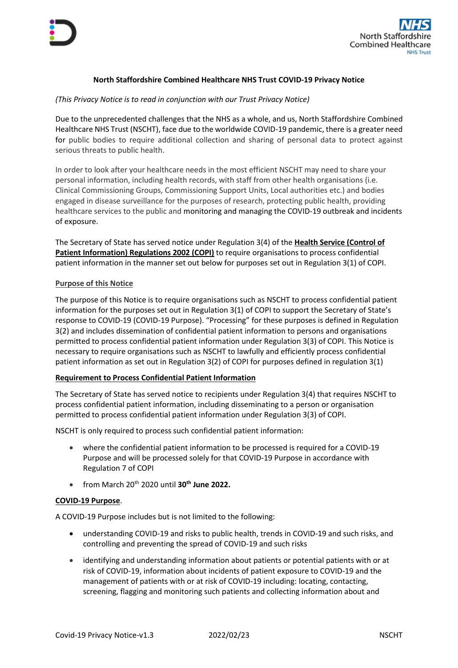

# **North Staffordshire Combined Healthcare NHS Trust COVID-19 Privacy Notice**

## *(This Privacy Notice is to read in conjunction with our Trust Privacy Notice)*

Due to the unprecedented challenges that the NHS as a whole, and us, North Staffordshire Combined Healthcare NHS Trust (NSCHT), face due to the worldwide COVID-19 pandemic, there is a greater need for public bodies to require additional collection and sharing of personal data to protect against serious threats to public health.

In order to look after your healthcare needs in the most efficient NSCHT may need to share your personal information, including health records, with staff from other health organisations (i.e. Clinical Commissioning Groups, Commissioning Support Units, Local authorities etc.) and bodies engaged in disease surveillance for the purposes of research, protecting public health, providing healthcare services to the public and monitoring and managing the COVID-19 outbreak and incidents of exposure.

The Secretary of State has served notice under Regulation 3(4) of the **Health Service (Control of Patient Information) Regulations 2002 (COPI)** to require organisations to process confidential patient information in the manner set out below for purposes set out in Regulation 3(1) of COPI.

### **Purpose of this Notice**

The purpose of this Notice is to require organisations such as NSCHT to process confidential patient information for the purposes set out in Regulation 3(1) of COPI to support the Secretary of State's response to COVID-19 (COVID-19 Purpose). "Processing" for these purposes is defined in Regulation 3(2) and includes dissemination of confidential patient information to persons and organisations permitted to process confidential patient information under Regulation 3(3) of COPI. This Notice is necessary to require organisations such as NSCHT to lawfully and efficiently process confidential patient information as set out in Regulation 3(2) of COPI for purposes defined in regulation 3(1)

## **Requirement to Process Confidential Patient Information**

The Secretary of State has served notice to recipients under Regulation 3(4) that requires NSCHT to process confidential patient information, including disseminating to a person or organisation permitted to process confidential patient information under Regulation 3(3) of COPI.

NSCHT is only required to process such confidential patient information:

- where the confidential patient information to be processed is required for a COVID-19 Purpose and will be processed solely for that COVID-19 Purpose in accordance with Regulation 7 of COPI
- from March 20th 2020 until **30th June 2022.**

#### **COVID-19 Purpose**.

A COVID-19 Purpose includes but is not limited to the following:

- understanding COVID-19 and risks to public health, trends in COVID-19 and such risks, and controlling and preventing the spread of COVID-19 and such risks
- identifying and understanding information about patients or potential patients with or at risk of COVID-19, information about incidents of patient exposure to COVID-19 and the management of patients with or at risk of COVID-19 including: locating, contacting, screening, flagging and monitoring such patients and collecting information about and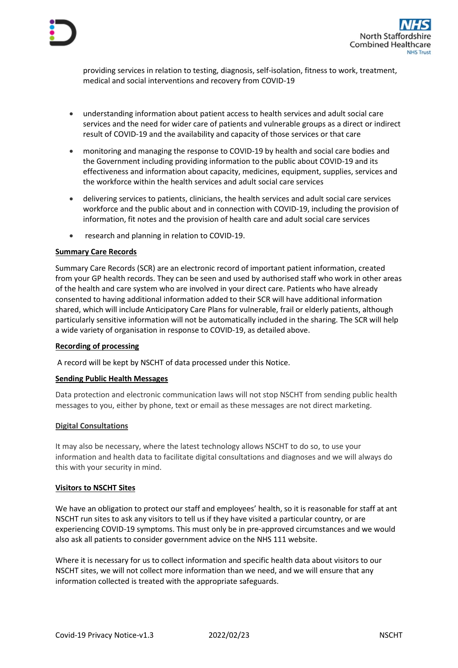



providing services in relation to testing, diagnosis, self-isolation, fitness to work, treatment, medical and social interventions and recovery from COVID-19

- understanding information about patient access to health services and adult social care services and the need for wider care of patients and vulnerable groups as a direct or indirect result of COVID-19 and the availability and capacity of those services or that care
- monitoring and managing the response to COVID-19 by health and social care bodies and the Government including providing information to the public about COVID-19 and its effectiveness and information about capacity, medicines, equipment, supplies, services and the workforce within the health services and adult social care services
- delivering services to patients, clinicians, the health services and adult social care services workforce and the public about and in connection with COVID-19, including the provision of information, fit notes and the provision of health care and adult social care services
- research and planning in relation to COVID-19.

### **Summary Care Records**

Summary Care Records (SCR) are an electronic record of important patient information, created from your GP health records. They can be seen and used by authorised staff who work in other areas of the health and care system who are involved in your direct care. Patients who have already consented to having additional information added to their SCR will have additional information shared, which will include Anticipatory Care Plans for vulnerable, frail or elderly patients, although particularly sensitive information will not be automatically included in the sharing. The SCR will help a wide variety of organisation in response to COVID-19, as detailed above.

#### **Recording of processing**

A record will be kept by NSCHT of data processed under this Notice.

#### **Sending Public Health Messages**

Data protection and electronic communication laws will not stop NSCHT from sending public health messages to you, either by phone, text or email as these messages are not direct marketing.

#### **Digital Consultations**

It may also be necessary, where the latest technology allows NSCHT to do so, to use your information and health data to facilitate digital consultations and diagnoses and we will always do this with your security in mind.

#### **Visitors to NSCHT Sites**

We have an obligation to protect our staff and employees' health, so it is reasonable for staff at ant NSCHT run sites to ask any visitors to tell us if they have visited a particular country, or are experiencing COVID-19 symptoms. This must only be in pre-approved circumstances and we would also ask all patients to consider government advice on the NHS 111 website.

Where it is necessary for us to collect information and specific health data about visitors to our NSCHT sites, we will not collect more information than we need, and we will ensure that any information collected is treated with the appropriate safeguards.